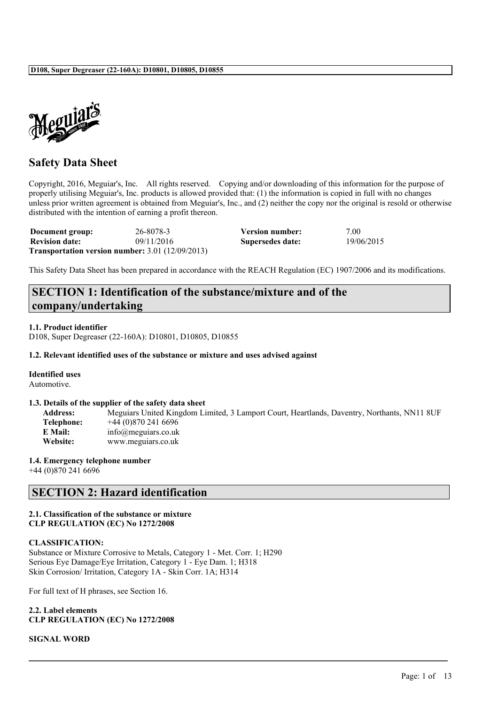

# **Safety Data Sheet**

Copyright, 2016, Meguiar's, Inc. All rights reserved. Copying and/or downloading of this information for the purpose of properly utilising Meguiar's, Inc. products is allowed provided that: (1) the information is copied in full with no changes unless prior written agreement is obtained from Meguiar's, Inc., and (2) neither the copy nor the original is resold or otherwise distributed with the intention of earning a profit thereon.

| Document group:       | 26-8078-3                                                     | Version number:  | 7.00       |
|-----------------------|---------------------------------------------------------------|------------------|------------|
| <b>Revision date:</b> | 09/11/2016                                                    | Supersedes date: | 19/06/2015 |
|                       | <b>Transportation version number:</b> $3.01$ ( $12/09/2013$ ) |                  |            |

This Safety Data Sheet has been prepared in accordance with the REACH Regulation (EC) 1907/2006 and its modifications.

# **SECTION 1: Identification of the substance/mixture and of the company/undertaking**

## **1.1. Product identifier**

D108, Super Degreaser (22-160A): D10801, D10805, D10855

## **1.2. Relevant identified uses of the substance or mixture and uses advised against**

## **Identified uses**

Automotive.

### **1.3. Details of the supplier of the safety data sheet**

**Address:** Meguiars United Kingdom Limited, 3 Lamport Court, Heartlands, Daventry, Northants, NN11 8UF **Telephone:** +44 (0)870 241 6696 **E Mail:** info@meguiars.co.uk **Website:** www.meguiars.co.uk

 $\mathcal{L}_\mathcal{L} = \mathcal{L}_\mathcal{L} = \mathcal{L}_\mathcal{L} = \mathcal{L}_\mathcal{L} = \mathcal{L}_\mathcal{L} = \mathcal{L}_\mathcal{L} = \mathcal{L}_\mathcal{L} = \mathcal{L}_\mathcal{L} = \mathcal{L}_\mathcal{L} = \mathcal{L}_\mathcal{L} = \mathcal{L}_\mathcal{L} = \mathcal{L}_\mathcal{L} = \mathcal{L}_\mathcal{L} = \mathcal{L}_\mathcal{L} = \mathcal{L}_\mathcal{L} = \mathcal{L}_\mathcal{L} = \mathcal{L}_\mathcal{L}$ 

## **1.4. Emergency telephone number**

+44 (0)870 241 6696

# **SECTION 2: Hazard identification**

## **2.1. Classification of the substance or mixture CLP REGULATION (EC) No 1272/2008**

## **CLASSIFICATION:**

Substance or Mixture Corrosive to Metals, Category 1 - Met. Corr. 1; H290 Serious Eye Damage/Eye Irritation, Category 1 - Eye Dam. 1; H318 Skin Corrosion/ Irritation, Category 1A - Skin Corr. 1A; H314

For full text of H phrases, see Section 16.

**2.2. Label elements CLP REGULATION (EC) No 1272/2008**

**SIGNAL WORD**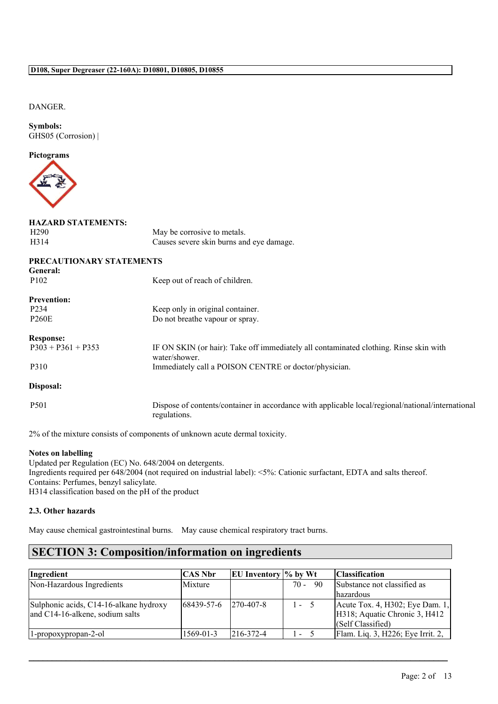## DANGER.

**Symbols:** GHS05 (Corrosion) |

## **Pictograms**



# **HAZARD STATEMENTS:**

H290 May be corrosive to metals. H314 Causes severe skin burns and eye damage.

| PRECAUTIONARY STATEMENTS<br>General: |                                                                                                                   |
|--------------------------------------|-------------------------------------------------------------------------------------------------------------------|
| P <sub>102</sub>                     | Keep out of reach of children.                                                                                    |
| <b>Prevention:</b>                   |                                                                                                                   |
| P <sub>2</sub> 34                    | Keep only in original container.                                                                                  |
| <b>P260E</b>                         | Do not breathe vapour or spray.                                                                                   |
| <b>Response:</b>                     |                                                                                                                   |
| $P303 + P361 + P353$                 | IF ON SKIN (or hair): Take off immediately all contaminated clothing. Rinse skin with<br>water/shower.            |
| P310                                 | Immediately call a POISON CENTRE or doctor/physician.                                                             |
| Disposal:                            |                                                                                                                   |
| P <sub>501</sub>                     | Dispose of contents/container in accordance with applicable local/regional/national/international<br>regulations. |

2% of the mixture consists of components of unknown acute dermal toxicity.

## **Notes on labelling**

Updated per Regulation (EC) No. 648/2004 on detergents. Ingredients required per 648/2004 (not required on industrial label): <5%: Cationic surfactant, EDTA and salts thereof. Contains: Perfumes, benzyl salicylate. H314 classification based on the pH of the product

## **2.3. Other hazards**

May cause chemical gastrointestinal burns. May cause chemical respiratory tract burns.

# **SECTION 3: Composition/information on ingredients**

| Ingredient                                                                | <b>CAS Nbr</b> | EU Inventory $\%$ by Wt |         |    | Classification                                                                        |
|---------------------------------------------------------------------------|----------------|-------------------------|---------|----|---------------------------------------------------------------------------------------|
| Non-Hazardous Ingredients                                                 | Mixture        |                         | $70 -$  | 90 | Substance not classified as<br>lhazardous                                             |
| Sulphonic acids, C14-16-alkane hydroxy<br>and C14-16-alkene, sodium salts | 68439-57-6     | $ 270 - 407 - 8 $       | $1 - 5$ |    | Acute Tox. 4, H302; Eye Dam. 1,<br>H318; Aquatic Chronic 3, H412<br>(Self Classified) |
| 1-propoxypropan-2-ol                                                      | 1569-01-3      | $ 216-372-4 $           | $\sim$  |    | Flam. Liq. 3, H226; Eye Irrit. 2,                                                     |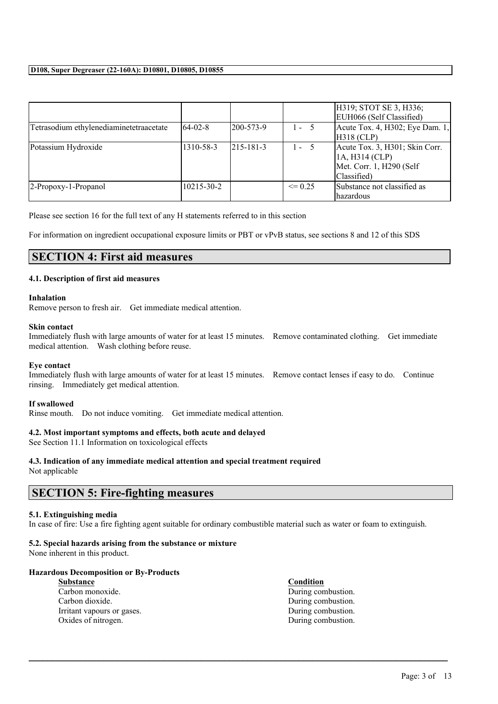|                                         |                  |                   |             | H319; STOT SE 3, H336;<br>EUH066 (Self Classified)                                           |
|-----------------------------------------|------------------|-------------------|-------------|----------------------------------------------------------------------------------------------|
| Tetrasodium ethylenediaminetetraacetate | $64-02-8$        | $ 200 - 573 - 9 $ | $1 - 5$     | Acute Tox. 4, H302; Eye Dam. 1,<br>$H318$ (CLP)                                              |
| Potassium Hydroxide                     | 1310-58-3        | $215 - 181 - 3$   | $1 - 5$     | Acute Tox. 3, H301; Skin Corr.<br>1A, H314 (CLP)<br>Met. Corr. 1, H290 (Self)<br>Classified) |
| 2-Propoxy-1-Propanol                    | $10215 - 30 - 2$ |                   | $\leq$ 0.25 | Substance not classified as<br>lhazardous                                                    |

Please see section 16 for the full text of any H statements referred to in this section

For information on ingredient occupational exposure limits or PBT or vPvB status, see sections 8 and 12 of this SDS

# **SECTION 4: First aid measures**

## **4.1. Description of first aid measures**

### **Inhalation**

Remove person to fresh air. Get immediate medical attention.

## **Skin contact**

Immediately flush with large amounts of water for at least 15 minutes. Remove contaminated clothing. Get immediate medical attention. Wash clothing before reuse.

### **Eye contact**

Immediately flush with large amounts of water for at least 15 minutes. Remove contact lenses if easy to do. Continue rinsing. Immediately get medical attention.

### **If swallowed**

Rinse mouth. Do not induce vomiting. Get immediate medical attention.

## **4.2. Most important symptoms and effects, both acute and delayed**

See Section 11.1 Information on toxicological effects

## **4.3. Indication of any immediate medical attention and special treatment required**

Not applicable

## **SECTION 5: Fire-fighting measures**

### **5.1. Extinguishing media**

In case of fire: Use a fire fighting agent suitable for ordinary combustible material such as water or foam to extinguish.

 $\mathcal{L}_\mathcal{L} = \mathcal{L}_\mathcal{L} = \mathcal{L}_\mathcal{L} = \mathcal{L}_\mathcal{L} = \mathcal{L}_\mathcal{L} = \mathcal{L}_\mathcal{L} = \mathcal{L}_\mathcal{L} = \mathcal{L}_\mathcal{L} = \mathcal{L}_\mathcal{L} = \mathcal{L}_\mathcal{L} = \mathcal{L}_\mathcal{L} = \mathcal{L}_\mathcal{L} = \mathcal{L}_\mathcal{L} = \mathcal{L}_\mathcal{L} = \mathcal{L}_\mathcal{L} = \mathcal{L}_\mathcal{L} = \mathcal{L}_\mathcal{L}$ 

## **5.2. Special hazards arising from the substance or mixture**

None inherent in this product.

## **Hazardous Decomposition or By-Products**

| <b>Substance</b>           | <b>Condition</b>   |
|----------------------------|--------------------|
| Carbon monoxide.           | During combustion. |
| Carbon dioxide.            | During combustion. |
| Irritant vapours or gases. | During combustion. |
| Oxides of nitrogen.        | During combustion. |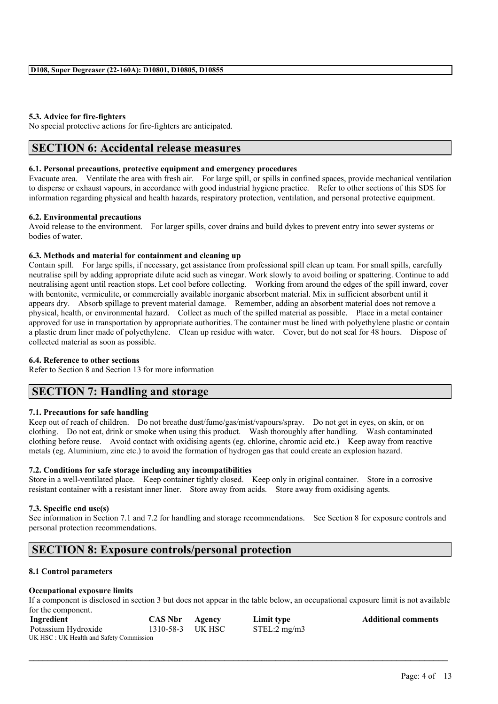### **5.3. Advice for fire-fighters**

No special protective actions for fire-fighters are anticipated.

## **SECTION 6: Accidental release measures**

### **6.1. Personal precautions, protective equipment and emergency procedures**

Evacuate area. Ventilate the area with fresh air. For large spill, or spills in confined spaces, provide mechanical ventilation to disperse or exhaust vapours, in accordance with good industrial hygiene practice. Refer to other sections of this SDS for information regarding physical and health hazards, respiratory protection, ventilation, and personal protective equipment.

### **6.2. Environmental precautions**

Avoid release to the environment. For larger spills, cover drains and build dykes to prevent entry into sewer systems or bodies of water.

### **6.3. Methods and material for containment and cleaning up**

Contain spill. For large spills, if necessary, get assistance from professional spill clean up team. For small spills, carefully neutralise spill by adding appropriate dilute acid such as vinegar. Work slowly to avoid boiling or spattering. Continue to add neutralising agent until reaction stops. Let cool before collecting. Working from around the edges of the spill inward, cover with bentonite, vermiculite, or commercially available inorganic absorbent material. Mix in sufficient absorbent until it appears dry. Absorb spillage to prevent material damage. Remember, adding an absorbent material does not remove a physical, health, or environmental hazard. Collect as much of the spilled material as possible. Place in a metal container approved for use in transportation by appropriate authorities. The container must be lined with polyethylene plastic or contain a plastic drum liner made of polyethylene. Clean up residue with water. Cover, but do not seal for 48 hours. Dispose of collected material as soon as possible.

### **6.4. Reference to other sections**

Refer to Section 8 and Section 13 for more information

# **SECTION 7: Handling and storage**

## **7.1. Precautions for safe handling**

Keep out of reach of children. Do not breathe dust/fume/gas/mist/vapours/spray. Do not get in eyes, on skin, or on clothing. Do not eat, drink or smoke when using this product. Wash thoroughly after handling. Wash contaminated clothing before reuse. Avoid contact with oxidising agents (eg. chlorine, chromic acid etc.) Keep away from reactive metals (eg. Aluminium, zinc etc.) to avoid the formation of hydrogen gas that could create an explosion hazard.

## **7.2. Conditions for safe storage including any incompatibilities**

Store in a well-ventilated place. Keep container tightly closed. Keep only in original container. Store in a corrosive resistant container with a resistant inner liner. Store away from acids. Store away from oxidising agents.

### **7.3. Specific end use(s)**

See information in Section 7.1 and 7.2 for handling and storage recommendations. See Section 8 for exposure controls and personal protection recommendations.

## **SECTION 8: Exposure controls/personal protection**

## **8.1 Control parameters**

### **Occupational exposure limits**

If a component is disclosed in section 3 but does not appear in the table below, an occupational exposure limit is not available for the component.

| Ingredient                              | <b>CAS Nbr Agency</b> | Limit type   | <b>Additional comments</b> |
|-----------------------------------------|-----------------------|--------------|----------------------------|
| Potassium Hydroxide                     | 1310-58-3 UK HSC      | STEL:2 mg/m3 |                            |
| UK HSC: UK Health and Safety Commission |                       |              |                            |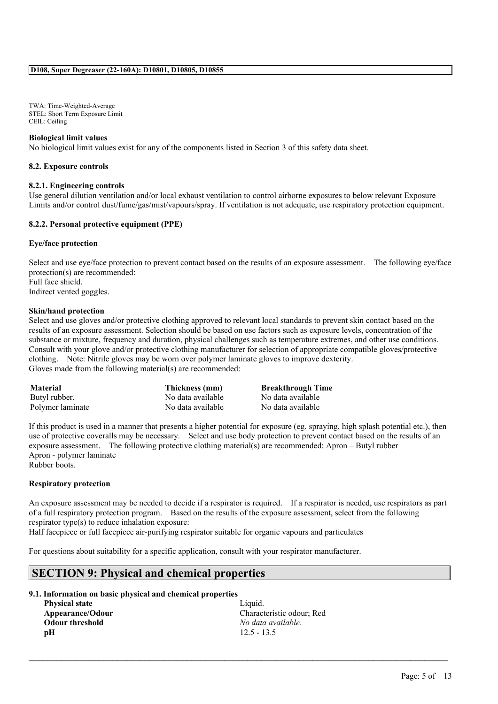TWA: Time-Weighted-Average STEL: Short Term Exposure Limit CEIL: Ceiling

## **Biological limit values**

No biological limit values exist for any of the components listed in Section 3 of this safety data sheet.

### **8.2. Exposure controls**

### **8.2.1. Engineering controls**

Use general dilution ventilation and/or local exhaust ventilation to control airborne exposures to below relevant Exposure Limits and/or control dust/fume/gas/mist/vapours/spray. If ventilation is not adequate, use respiratory protection equipment.

## **8.2.2. Personal protective equipment (PPE)**

### **Eye/face protection**

Select and use eye/face protection to prevent contact based on the results of an exposure assessment. The following eye/face protection(s) are recommended: Full face shield. Indirect vented goggles.

### **Skin/hand protection**

Select and use gloves and/or protective clothing approved to relevant local standards to prevent skin contact based on the results of an exposure assessment. Selection should be based on use factors such as exposure levels, concentration of the substance or mixture, frequency and duration, physical challenges such as temperature extremes, and other use conditions. Consult with your glove and/or protective clothing manufacturer for selection of appropriate compatible gloves/protective clothing. Note: Nitrile gloves may be worn over polymer laminate gloves to improve dexterity. Gloves made from the following material(s) are recommended:

| <b>Material</b>  | Thickness (mm)    | <b>Breakthrough Time</b> |
|------------------|-------------------|--------------------------|
| Butyl rubber.    | No data available | No data available        |
| Polymer laminate | No data available | No data available        |

If this product is used in a manner that presents a higher potential for exposure (eg. spraying, high splash potential etc.), then use of protective coveralls may be necessary. Select and use body protection to prevent contact based on the results of an exposure assessment. The following protective clothing material(s) are recommended: Apron – Butyl rubber Apron - polymer laminate

Rubber boots.

### **Respiratory protection**

An exposure assessment may be needed to decide if a respirator is required. If a respirator is needed, use respirators as part of a full respiratory protection program. Based on the results of the exposure assessment, select from the following respirator type(s) to reduce inhalation exposure:

 $\mathcal{L}_\mathcal{L} = \mathcal{L}_\mathcal{L} = \mathcal{L}_\mathcal{L} = \mathcal{L}_\mathcal{L} = \mathcal{L}_\mathcal{L} = \mathcal{L}_\mathcal{L} = \mathcal{L}_\mathcal{L} = \mathcal{L}_\mathcal{L} = \mathcal{L}_\mathcal{L} = \mathcal{L}_\mathcal{L} = \mathcal{L}_\mathcal{L} = \mathcal{L}_\mathcal{L} = \mathcal{L}_\mathcal{L} = \mathcal{L}_\mathcal{L} = \mathcal{L}_\mathcal{L} = \mathcal{L}_\mathcal{L} = \mathcal{L}_\mathcal{L}$ 

Half facepiece or full facepiece air-purifying respirator suitable for organic vapours and particulates

For questions about suitability for a specific application, consult with your respirator manufacturer.

## **SECTION 9: Physical and chemical properties**

## **9.1. Information on basic physical and chemical properties**

**Physical state** Liquid. **Odour threshold** *No data available.* **pH** 12.5 - 13.5

**Appearance/Odour** Characteristic odour; Red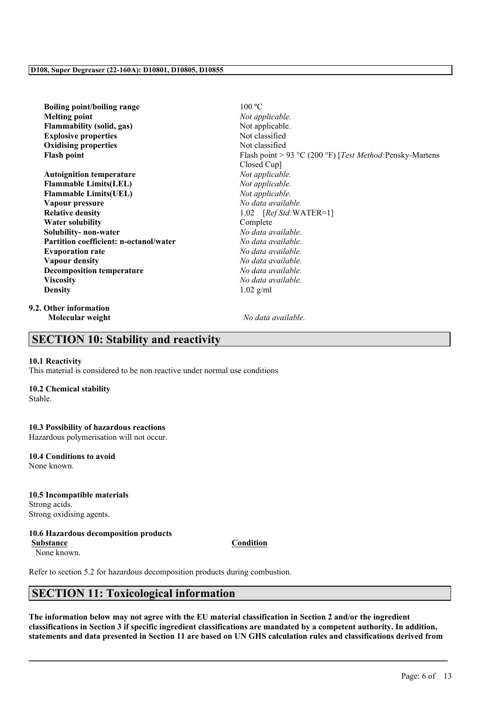| <b>Boiling point/boiling range</b>            | 100 °C                                                    |
|-----------------------------------------------|-----------------------------------------------------------|
| <b>Melting point</b>                          | Not applicable.                                           |
| <b>Flammability (solid, gas)</b>              | Not applicable.                                           |
| <b>Explosive properties</b>                   | Not classified                                            |
| <b>Oxidising properties</b>                   | Not classified                                            |
| <b>Flash point</b>                            | Flash point > 93 °C (200 °F) [Test Method: Pensky-Martens |
|                                               | Closed Cup]                                               |
| <b>Autoignition temperature</b>               | Not applicable.                                           |
| <b>Flammable Limits(LEL)</b>                  | Not applicable.                                           |
| <b>Flammable Limits(UEL)</b>                  | Not applicable.                                           |
| Vapour pressure                               | No data available.                                        |
| <b>Relative density</b>                       | 1.02 $[RefStd:WATER=1]$                                   |
| <b>Water solubility</b>                       | Complete                                                  |
| Solubility- non-water                         | No data available.                                        |
| <b>Partition coefficient: n-octanol/water</b> | No data available.                                        |
| <b>Evaporation rate</b>                       | No data available.                                        |
| <b>Vapour density</b>                         | No data available.                                        |
| <b>Decomposition temperature</b>              | No data available.                                        |
| <b>Viscosity</b>                              | No data available.                                        |
| <b>Density</b>                                | $1.02$ g/ml                                               |
|                                               |                                                           |

**9.2. Other information Molecular weight** *No data available.*

# **SECTION 10: Stability and reactivity**

### **10.1 Reactivity**

This material is considered to be non reactive under normal use conditions

## **10.2 Chemical stability**

Stable.

# **10.3 Possibility of hazardous reactions**

Hazardous polymerisation will not occur.

# **10.4 Conditions to avoid**

None known.

### **10.5 Incompatible materials** Strong acids.

Strong oxidising agents.

## **10.6 Hazardous decomposition products**

**Substance Condition** None known.

Refer to section 5.2 for hazardous decomposition products during combustion.

# **SECTION 11: Toxicological information**

The information below may not agree with the EU material classification in Section 2 and/or the ingredient classifications in Section 3 if specific ingredient classifications are mandated by a competent authority. In addition, statements and data presented in Section 11 are based on UN GHS calculation rules and classifications derived from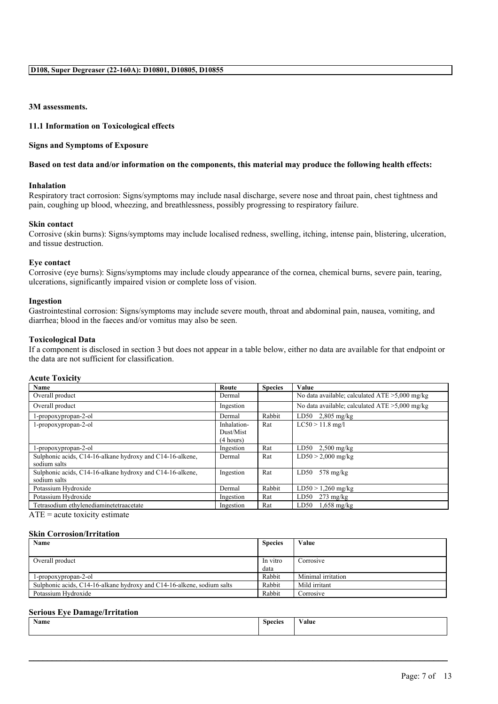## **3M assessments.**

## **11.1 Information on Toxicological effects**

## **Signs and Symptoms of Exposure**

### Based on test data and/or information on the components, this material may produce the following health effects:

## **Inhalation**

Respiratory tract corrosion: Signs/symptoms may include nasal discharge, severe nose and throat pain, chest tightness and pain, coughing up blood, wheezing, and breathlessness, possibly progressing to respiratory failure.

### **Skin contact**

Corrosive (skin burns): Signs/symptoms may include localised redness, swelling, itching, intense pain, blistering, ulceration, and tissue destruction.

### **Eye contact**

Corrosive (eye burns): Signs/symptoms may include cloudy appearance of the cornea, chemical burns, severe pain, tearing, ulcerations, significantly impaired vision or complete loss of vision.

### **Ingestion**

Gastrointestinal corrosion: Signs/symptoms may include severe mouth, throat and abdominal pain, nausea, vomiting, and diarrhea; blood in the faeces and/or vomitus may also be seen.

### **Toxicological Data**

If a component is disclosed in section 3 but does not appear in a table below, either no data are available for that endpoint or the data are not sufficient for classification.

### **Acute Toxicity**

| Name                                                      | Route       | <b>Species</b> | Value                                             |
|-----------------------------------------------------------|-------------|----------------|---------------------------------------------------|
| Overall product                                           | Dermal      |                | No data available; calculated $ATE > 5,000$ mg/kg |
| Overall product                                           | Ingestion   |                | No data available; calculated $ATE > 5,000$ mg/kg |
| 1-propoxypropan-2-ol                                      | Dermal      | Rabbit         | LD50 $2,805$ mg/kg                                |
| 1-propoxypropan-2-ol                                      | Inhalation- | Rat            | $LC50 > 11.8$ mg/l                                |
|                                                           | Dust/Mist   |                |                                                   |
|                                                           | (4 hours)   |                |                                                   |
| 1-propoxypropan-2-ol                                      | Ingestion   | Rat            | $LD50$ 2,500 mg/kg                                |
| Sulphonic acids, C14-16-alkane hydroxy and C14-16-alkene, | Dermal      | Rat            | $LD50 > 2,000$ mg/kg                              |
| sodium salts                                              |             |                |                                                   |
| Sulphonic acids, C14-16-alkane hydroxy and C14-16-alkene, | Ingestion   | Rat            | $578 \text{ mg/kg}$<br>LD50                       |
| sodium salts                                              |             |                |                                                   |
| Potassium Hydroxide                                       | Dermal      | Rabbit         | $LD50 > 1,260$ mg/kg                              |
| Potassium Hydroxide                                       | Ingestion   | Rat            | $273 \text{ mg/kg}$<br>LD50                       |
| Tetrasodium ethylenediaminetetraacetate                   | Ingestion   | Rat            | LD50<br>$1,658$ mg/kg                             |

 $ATE = acute$  toxicity estimate

### **Skin Corrosion/Irritation**

| Name                                                                   | <b>Species</b> | Value              |
|------------------------------------------------------------------------|----------------|--------------------|
|                                                                        |                |                    |
| Overall product                                                        | In vitro       | Corrosive          |
|                                                                        | data           |                    |
| 1-propoxypropan-2-ol                                                   | Rabbit         | Minimal irritation |
| Sulphonic acids, C14-16-alkane hydroxy and C14-16-alkene, sodium salts | Rabbit         | Mild irritant      |
| Potassium Hydroxide                                                    | Rabbit         | Corrosive          |

### **Serious Eye Damage/Irritation**

| $\mathbf{X}$<br>Name | $\sim$<br><b>Species</b> | $\mathbf{v}$<br>√alue |
|----------------------|--------------------------|-----------------------|
|                      |                          |                       |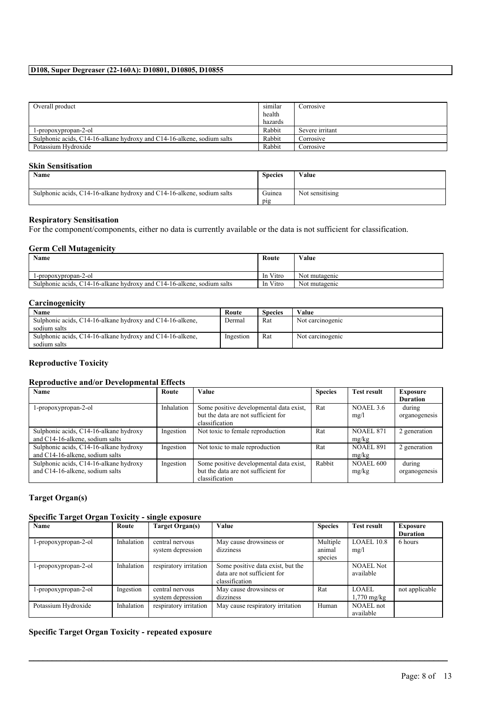| Overall product                                                        | similar | Corrosive       |
|------------------------------------------------------------------------|---------|-----------------|
|                                                                        | health  |                 |
|                                                                        | hazards |                 |
| 1-propoxypropan-2-ol                                                   | Rabbit  | Severe irritant |
| Sulphonic acids. C14-16-alkane hydroxy and C14-16-alkene, sodium salts | Rabbit  | Corrosive       |
| Potassium Hydroxide                                                    | Rabbit  | Corrosive       |

## **Skin Sensitisation**

| <b>Name</b>                                                            | <b>Species</b> | Value           |
|------------------------------------------------------------------------|----------------|-----------------|
| Sulphonic acids, C14-16-alkane hydroxy and C14-16-alkene, sodium salts | Guinea<br>pig  | Not sensitising |

## **Respiratory Sensitisation**

For the component/components, either no data is currently available or the data is not sufficient for classification.

### **Germ Cell Mutagenicity**

| Name                                                                         | Route        | Value         |
|------------------------------------------------------------------------------|--------------|---------------|
| l-propoxypropan-2-ol                                                         | In Vitro     | Not mutagenic |
| Sulphonic acids, $C14-16$ -alkane hydroxy and $C14-16$ -alkene, sodium salts | Vitro<br>-In | Not mutagenic |

## **Carcinogenicity**

| Name                                                      | Route     | <b>Species</b> | Value            |
|-----------------------------------------------------------|-----------|----------------|------------------|
| Sulphonic acids, C14-16-alkane hydroxy and C14-16-alkene, | Dermal    | Rat            | Not carcinogenic |
| sodium salts                                              |           |                |                  |
| Sulphonic acids, C14-16-alkane hydroxy and C14-16-alkene, | Ingestion | Rat            | Not carcinogenic |
| sodium salts                                              |           |                |                  |

## **Reproductive Toxicity**

## **Reproductive and/or Developmental Effects**

| Name                                   | Route      | <b>Value</b>                            | <b>Species</b> | <b>Test result</b>   | Exposure        |
|----------------------------------------|------------|-----------------------------------------|----------------|----------------------|-----------------|
|                                        |            |                                         |                |                      | <b>Duration</b> |
| l-propoxypropan-2-ol                   | Inhalation | Some positive developmental data exist, | Rat            | NOAEL <sub>3.6</sub> | during          |
|                                        |            | but the data are not sufficient for     |                | mg/l                 | organogenesis   |
|                                        |            | classification                          |                |                      |                 |
| Sulphonic acids, C14-16-alkane hydroxy | Ingestion  | Not toxic to female reproduction        | Rat            | <b>NOAEL 871</b>     | 2 generation    |
| and C14-16-alkene, sodium salts        |            |                                         |                | mg/kg                |                 |
| Sulphonic acids, C14-16-alkane hydroxy | Ingestion  | Not toxic to male reproduction          | Rat            | <b>NOAEL 891</b>     | 2 generation    |
| and C14-16-alkene, sodium salts        |            |                                         |                | mg/kg                |                 |
| Sulphonic acids, C14-16-alkane hydroxy | Ingestion  | Some positive developmental data exist, | Rabbit         | <b>NOAEL 600</b>     | during          |
| and C14-16-alkene, sodium salts        |            | but the data are not sufficient for     |                | mg/kg                | organogenesis   |
|                                        |            | classification                          |                |                      |                 |

## **Target Organ(s)**

## **Specific Target Organ Toxicity - single exposure**

| Name                 | Route      | Target Organ(s)                      | Value                                                                              | <b>Species</b>                | <b>Test result</b>            | Exposure<br><b>Duration</b> |
|----------------------|------------|--------------------------------------|------------------------------------------------------------------------------------|-------------------------------|-------------------------------|-----------------------------|
| 1-propoxypropan-2-ol | Inhalation | central nervous<br>system depression | May cause drowsiness or<br>dizziness                                               | Multiple<br>animal<br>species | LOAEL 10.8<br>mg/l            | 6 hours                     |
| 1-propoxypropan-2-ol | Inhalation | respiratory irritation               | Some positive data exist, but the<br>data are not sufficient for<br>classification |                               | <b>NOAEL Not</b><br>available |                             |
| 1-propoxypropan-2-ol | Ingestion  | central nervous<br>system depression | May cause drowsiness or<br>dizziness                                               | Rat                           | LOAEL.<br>$1,770$ mg/kg       | not applicable              |
| Potassium Hydroxide  | Inhalation | respiratory irritation               | May cause respiratory irritation                                                   | Human                         | NOAEL not<br>available        |                             |

 $\mathcal{L}_\mathcal{L} = \mathcal{L}_\mathcal{L} = \mathcal{L}_\mathcal{L} = \mathcal{L}_\mathcal{L} = \mathcal{L}_\mathcal{L} = \mathcal{L}_\mathcal{L} = \mathcal{L}_\mathcal{L} = \mathcal{L}_\mathcal{L} = \mathcal{L}_\mathcal{L} = \mathcal{L}_\mathcal{L} = \mathcal{L}_\mathcal{L} = \mathcal{L}_\mathcal{L} = \mathcal{L}_\mathcal{L} = \mathcal{L}_\mathcal{L} = \mathcal{L}_\mathcal{L} = \mathcal{L}_\mathcal{L} = \mathcal{L}_\mathcal{L}$ 

## **Specific Target Organ Toxicity - repeated exposure**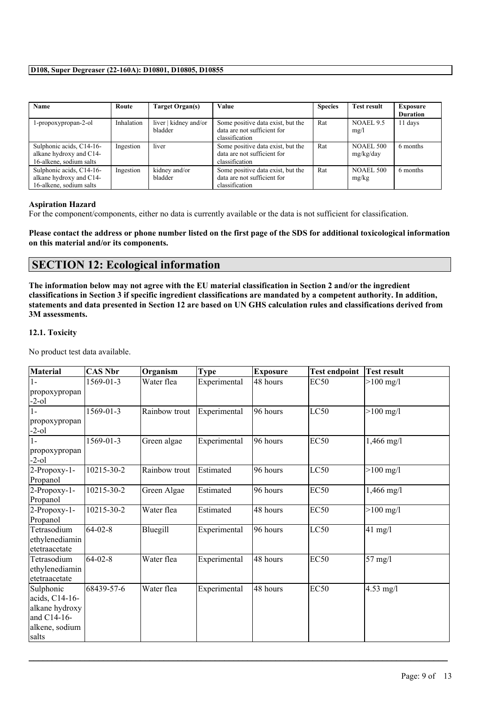| Name                     | Route      | Target Organ(s)       | Value                             | <b>Species</b> | <b>Test result</b> | <b>Exposure</b> |
|--------------------------|------------|-----------------------|-----------------------------------|----------------|--------------------|-----------------|
|                          |            |                       |                                   |                |                    | <b>Duration</b> |
| 1-propoxypropan-2-ol     | Inhalation | liver   kidney and/or | Some positive data exist, but the | Rat            | NOAEL 9.5          | 11 days         |
|                          |            | bladder               | data are not sufficient for       |                | mg/l               |                 |
|                          |            |                       | classification                    |                |                    |                 |
| Sulphonic acids, C14-16- | Ingestion  | liver                 | Some positive data exist, but the | Rat            | <b>NOAEL 500</b>   | 6 months        |
| alkane hydroxy and C14-  |            |                       | data are not sufficient for       |                | mg/kg/day          |                 |
| 16-alkene, sodium salts  |            |                       | classification                    |                |                    |                 |
| Sulphonic acids, C14-16- | Ingestion  | kidney and/or         | Some positive data exist, but the | Rat            | <b>NOAEL 500</b>   | 6 months        |
| alkane hydroxy and C14-  |            | bladder               | data are not sufficient for       |                | mg/kg              |                 |
| 16-alkene, sodium salts  |            |                       | classification                    |                |                    |                 |

## **Aspiration Hazard**

For the component/components, either no data is currently available or the data is not sufficient for classification.

Please contact the address or phone number listed on the first page of the SDS for additional toxicological information **on this material and/or its components.**

# **SECTION 12: Ecological information**

The information below may not agree with the EU material classification in Section 2 and/or the ingredient classifications in Section 3 if specific ingredient classifications are mandated by a competent authority. In addition, statements and data presented in Section 12 are based on UN GHS calculation rules and classifications derived from **3M assessments.**

## **12.1. Toxicity**

No product test data available.

| <b>Material</b> | <b>CAS Nbr</b> | Organism      | <b>Type</b>  | <b>Exposure</b> | <b>Test endpoint</b> | <b>Test result</b>   |
|-----------------|----------------|---------------|--------------|-----------------|----------------------|----------------------|
| $1-$            | 1569-01-3      | Water flea    | Experimental | 48 hours        | EC <sub>50</sub>     | $>100$ mg/l          |
| propoxypropan   |                |               |              |                 |                      |                      |
| $-2 - 01$       |                |               |              |                 |                      |                      |
| $1 -$           | 1569-01-3      | Rainbow trout | Experimental | 96 hours        | LC50                 | $>100 \text{ mg/l}$  |
| propoxypropan   |                |               |              |                 |                      |                      |
| $-2-0$          |                |               |              |                 |                      |                      |
| $1 -$           | 1569-01-3      | Green algae   | Experimental | 96 hours        | <b>EC50</b>          | $1,466 \text{ mg}/1$ |
| propoxypropan   |                |               |              |                 |                      |                      |
| $-2-0$          |                |               |              |                 |                      |                      |
| 2-Propoxy-1-    | 10215-30-2     | Rainbow trout | Estimated    | 96 hours        | LC50                 | $>100$ mg/l          |
| Propanol        |                |               |              |                 |                      |                      |
| 2-Propoxy-1-    | 10215-30-2     | Green Algae   | Estimated    | 96 hours        | EC <sub>50</sub>     | $1,466 \text{ mg}/1$ |
| Propanol        |                |               |              |                 |                      |                      |
| 2-Propoxy-1-    | 10215-30-2     | Water flea    | Estimated    | 48 hours        | <b>EC50</b>          | $>100 \text{ mg/l}$  |
| Propanol        |                |               |              |                 |                      |                      |
| Tetrasodium     | $ 64-02-8 $    | Bluegill      | Experimental | 96 hours        | LC50                 | $41 \text{ mg}/1$    |
| ethylenediamin  |                |               |              |                 |                      |                      |
| etetraacetate   |                |               |              |                 |                      |                      |
| Tetrasodium     | $ 64-02-8 $    | Water flea    | Experimental | 48 hours        | EC <sub>50</sub>     | $57 \text{ mg/l}$    |
| ethylenediamin  |                |               |              |                 |                      |                      |
| etetraacetate   |                |               |              |                 |                      |                      |
| Sulphonic       | 68439-57-6     | Water flea    | Experimental | 48 hours        | <b>EC50</b>          | $4.53$ mg/l          |
| acids, C14-16-  |                |               |              |                 |                      |                      |
| alkane hydroxy  |                |               |              |                 |                      |                      |
| and C14-16-     |                |               |              |                 |                      |                      |
| alkene, sodium  |                |               |              |                 |                      |                      |
| salts           |                |               |              |                 |                      |                      |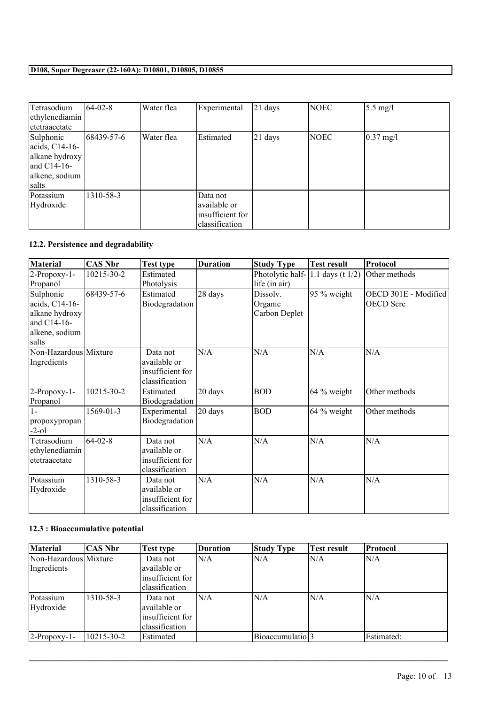| Tetrasodium     | $ 64-02-8 $ | Water flea | Experimental     | $ 21$ days | <b>NOEC</b> | $5.5 \text{ mg/l}$  |
|-----------------|-------------|------------|------------------|------------|-------------|---------------------|
| ethylenediamin  |             |            |                  |            |             |                     |
| etetraacetate   |             |            |                  |            |             |                     |
| Sulphonic       | 68439-57-6  | Water flea | Estimated        | $ 21$ days | NOEC        | $0.37 \text{ mg}/1$ |
| acids, $C14-16$ |             |            |                  |            |             |                     |
| alkane hydroxy  |             |            |                  |            |             |                     |
| and $C14-16$    |             |            |                  |            |             |                     |
| alkene, sodium  |             |            |                  |            |             |                     |
| salts           |             |            |                  |            |             |                     |
| Potassium       | 1310-58-3   |            | Data not         |            |             |                     |
| Hydroxide       |             |            | available or     |            |             |                     |
|                 |             |            | insufficient for |            |             |                     |
|                 |             |            | classification   |            |             |                     |

# **12.2. Persistence and degradability**

| <b>Material</b>                                                                         | <b>CAS Nbr</b>  | <b>Test type</b>                                               | <b>Duration</b> | <b>Study Type</b>                                        | <b>Test result</b> | Protocol                                 |
|-----------------------------------------------------------------------------------------|-----------------|----------------------------------------------------------------|-----------------|----------------------------------------------------------|--------------------|------------------------------------------|
| 2-Propoxy-1-<br>Propanol                                                                | 10215-30-2      | Estimated<br>Photolysis                                        |                 | Photolytic half- $ 1.1$ days (t $1/2$ )<br>life (in air) |                    | Other methods                            |
| Sulphonic<br>acids, C14-16-<br>alkane hydroxy<br>and C14-16-<br>alkene, sodium<br>salts | 68439-57-6      | Estimated<br>Biodegradation                                    | 28 days         | Dissolv.<br>Organic<br>Carbon Deplet                     | $95\%$ weight      | OECD 301E - Modified<br><b>OECD</b> Scre |
| Non-Hazardous Mixture<br>Ingredients                                                    |                 | Data not<br>available or<br>insufficient for<br>classification | N/A             | N/A                                                      | N/A                | N/A                                      |
| 2-Propoxy-1-<br>Propanol                                                                | 10215-30-2      | Estimated<br>Biodegradation                                    | 20 days         | <b>BOD</b>                                               | $64\%$ weight      | Other methods                            |
| $1-$<br>propoxypropan<br>-2-ol                                                          | $1569 - 01 - 3$ | Experimental<br>Biodegradation                                 | 20 days         | <b>BOD</b>                                               | $64\%$ weight      | Other methods                            |
| Tetrasodium<br>ethylenediamin<br>etetraacetate                                          | $64 - 02 - 8$   | Data not<br>available or<br>insufficient for<br>classification | N/A             | N/A                                                      | N/A                | N/A                                      |
| Potassium<br>Hydroxide                                                                  | 1310-58-3       | Data not<br>available or<br>insufficient for<br>classification | N/A             | N/A                                                      | N/A                | N/A                                      |

# **12.3 : Bioaccumulative potential**

| Material              | CAS Nbr    | <b>Test type</b>  | <b>Duration</b> | <b>Study Type</b>             | Test result | Protocol   |
|-----------------------|------------|-------------------|-----------------|-------------------------------|-------------|------------|
| Non-Hazardous Mixture |            | Data not          | N/A             | N/A                           | ln/a        | IN/A       |
| Ingredients           |            | lavailable or     |                 |                               |             |            |
|                       |            | linsufficient for |                 |                               |             |            |
|                       |            | lclassification   |                 |                               |             |            |
| Potassium             | 1310-58-3  | Data not          | N/A             | IN/A                          | ln/a        | N/A        |
| Hydroxide             |            | lavailable or     |                 |                               |             |            |
|                       |            | linsufficient for |                 |                               |             |            |
|                       |            | classification    |                 |                               |             |            |
| $2$ -Propoxy-1-       | 10215-30-2 | Estimated         |                 | Bioaccumulatio <sup>[2]</sup> |             | Estimated: |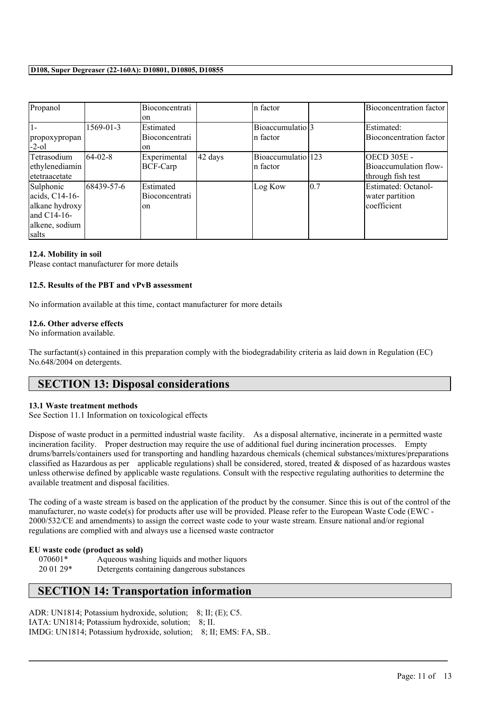| Propanol       |                | Bioconcentrati        |         | In factor          |     | Bioconcentration factor |
|----------------|----------------|-----------------------|---------|--------------------|-----|-------------------------|
|                |                | lon                   |         |                    |     |                         |
| $1-$           | 1569-01-3      | Estimated             |         | Bioaccumulatio 3   |     | Estimated:              |
| propoxypropan  |                | <b>Bioconcentrati</b> |         | In factor          |     | Bioconcentration factor |
| $-2$ -ol       |                | lon                   |         |                    |     |                         |
| Tetrasodium    | $164 - 02 - 8$ | Experimental          | 42 days | Bioaccumulatio 123 |     | <b>OECD 305E -</b>      |
| ethylenediamin |                | BCF-Carp              |         | In factor          |     | Bioaccumulation flow-   |
| letetraacetate |                |                       |         |                    |     | through fish test       |
| Sulphonic      | 68439-57-6     | <b>Estimated</b>      |         | Log Kow            | 0.7 | Estimated: Octanol-     |
| acids, C14-16- |                | Bioconcentrati        |         |                    |     | water partition         |
| alkane hydroxy |                | lon                   |         |                    |     | lcoefficient            |
| land C14-16-   |                |                       |         |                    |     |                         |
| alkene, sodium |                |                       |         |                    |     |                         |
| salts          |                |                       |         |                    |     |                         |

## **12.4. Mobility in soil**

Please contact manufacturer for more details

### **12.5. Results of the PBT and vPvB assessment**

No information available at this time, contact manufacturer for more details

## **12.6. Other adverse effects**

No information available.

The surfactant(s) contained in this preparation comply with the biodegradability criteria as laid down in Regulation (EC) No.648/2004 on detergents.

# **SECTION 13: Disposal considerations**

### **13.1 Waste treatment methods**

See Section 11.1 Information on toxicological effects

Dispose of waste product in a permitted industrial waste facility. As a disposal alternative, incinerate in a permitted waste incineration facility. Proper destruction may require the use of additional fuel during incineration processes. Empty drums/barrels/containers used for transporting and handling hazardous chemicals (chemical substances/mixtures/preparations classified as Hazardous as per applicable regulations) shall be considered, stored, treated & disposed of as hazardous wastes unless otherwise defined by applicable waste regulations. Consult with the respective regulating authorities to determine the available treatment and disposal facilities.

The coding of a waste stream is based on the application of the product by the consumer. Since this is out of the control of the manufacturer, no waste code(s) for products after use will be provided. Please refer to the European Waste Code (EWC - 2000/532/CE and amendments) to assign the correct waste code to your waste stream. Ensure national and/or regional regulations are complied with and always use a licensed waste contractor

 $\mathcal{L}_\mathcal{L} = \mathcal{L}_\mathcal{L} = \mathcal{L}_\mathcal{L} = \mathcal{L}_\mathcal{L} = \mathcal{L}_\mathcal{L} = \mathcal{L}_\mathcal{L} = \mathcal{L}_\mathcal{L} = \mathcal{L}_\mathcal{L} = \mathcal{L}_\mathcal{L} = \mathcal{L}_\mathcal{L} = \mathcal{L}_\mathcal{L} = \mathcal{L}_\mathcal{L} = \mathcal{L}_\mathcal{L} = \mathcal{L}_\mathcal{L} = \mathcal{L}_\mathcal{L} = \mathcal{L}_\mathcal{L} = \mathcal{L}_\mathcal{L}$ 

### **EU waste code (product as sold)**

070601\* Aqueous washing liquids and mother liquors 20 01 29\* Detergents containing dangerous substances

# **SECTION 14: Transportation information**

ADR: UN1814; Potassium hydroxide, solution; 8; II; (E); C5. IATA: UN1814; Potassium hydroxide, solution; 8; II. IMDG: UN1814; Potassium hydroxide, solution; 8; II; EMS: FA, SB..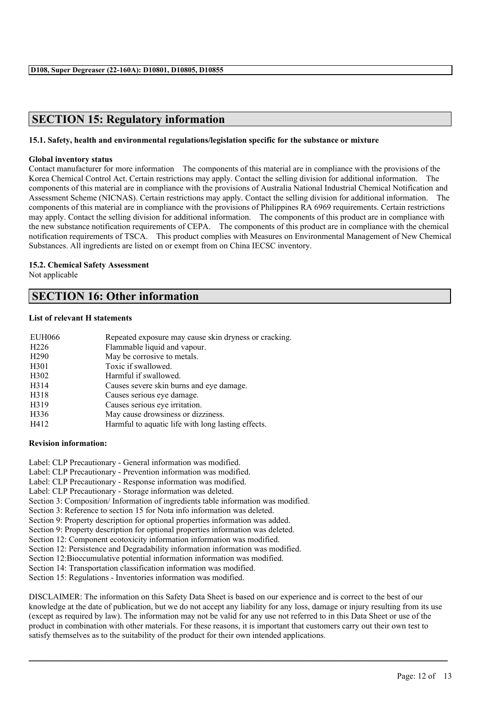# **SECTION 15: Regulatory information**

## **15.1. Safety, health and environmental regulations/legislation specific for the substance or mixture**

## **Global inventory status**

Contact manufacturer for more information The components of this material are in compliance with the provisions of the Korea Chemical Control Act. Certain restrictions may apply. Contact the selling division for additional information. The components of this material are in compliance with the provisions of Australia National Industrial Chemical Notification and Assessment Scheme (NICNAS). Certain restrictions may apply. Contact the selling division for additional information. The components of this material are in compliance with the provisions of Philippines RA 6969 requirements. Certain restrictions may apply. Contact the selling division for additional information. The components of this product are in compliance with the new substance notification requirements of CEPA. The components of this product are in compliance with the chemical notification requirements of TSCA. This product complies with Measures on Environmental Management of New Chemical Substances. All ingredients are listed on or exempt from on China IECSC inventory.

## **15.2. Chemical Safety Assessment**

Not applicable

# **SECTION 16: Other information**

### **List of relevant H statements**

| <b>EUH066</b>     | Repeated exposure may cause skin dryness or cracking. |
|-------------------|-------------------------------------------------------|
| H <sub>226</sub>  | Flammable liquid and vapour.                          |
| H <sub>290</sub>  | May be corrosive to metals.                           |
| H301              | Toxic if swallowed.                                   |
| H <sub>3</sub> 02 | Harmful if swallowed.                                 |
| H314              | Causes severe skin burns and eye damage.              |
| H318              | Causes serious eye damage.                            |
| H319              | Causes serious eye irritation.                        |
| H336              | May cause drowsiness or dizziness.                    |
| H412              | Harmful to aquatic life with long lasting effects.    |

### **Revision information:**

- Label: CLP Precautionary General information was modified.
- Label: CLP Precautionary Prevention information was modified.
- Label: CLP Precautionary Response information was modified.
- Label: CLP Precautionary Storage information was deleted.
- Section 3: Composition/ Information of ingredients table information was modified.
- Section 3: Reference to section 15 for Nota info information was deleted.
- Section 9: Property description for optional properties information was added.
- Section 9: Property description for optional properties information was deleted.
- Section 12: Component ecotoxicity information information was modified.
- Section 12: Persistence and Degradability information information was modified.
- Section 12:Bioccumulative potential information information was modified.
- Section 14: Transportation classification information was modified.
- Section 15: Regulations Inventories information was modified.

DISCLAIMER: The information on this Safety Data Sheet is based on our experience and is correct to the best of our knowledge at the date of publication, but we do not accept any liability for any loss, damage or injury resulting from its use (except as required by law). The information may not be valid for any use not referred to in this Data Sheet or use of the product in combination with other materials. For these reasons, it is important that customers carry out their own test to satisfy themselves as to the suitability of the product for their own intended applications.